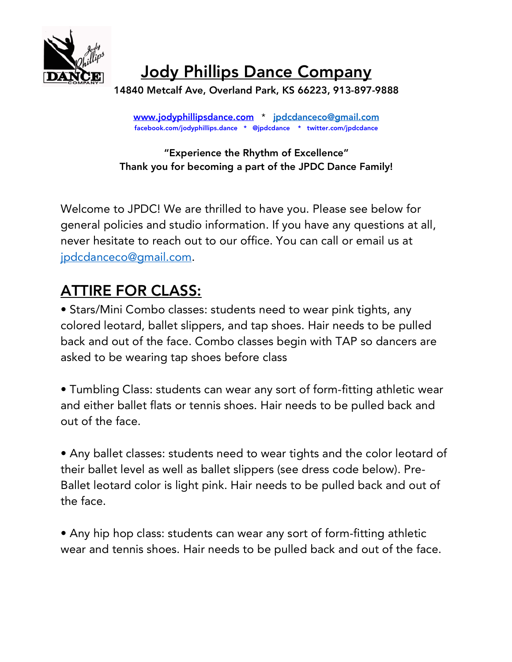

Jody Phillips Dance Company

14840 Metcalf Ave, Overland Park, KS 66223, 913-897-9888

www.jodyphillipsdance.com \* jpdcdanceco@gmail.com facebook.com/jodyphillips.dance \* @jpdcdance \* twitter.com/jpdcdance

## "Experience the Rhythm of Excellence" Thank you for becoming a part of the JPDC Dance Family!

Welcome to JPDC! We are thrilled to have you. Please see below for general policies and studio information. If you have any questions at all, never hesitate to reach out to our office. You can call or email us at jpdcdanceco@gmail.com.

## ATTIRE FOR CLASS:

• Stars/Mini Combo classes: students need to wear pink tights, any colored leotard, ballet slippers, and tap shoes. Hair needs to be pulled back and out of the face. Combo classes begin with TAP so dancers are asked to be wearing tap shoes before class

• Tumbling Class: students can wear any sort of form-fitting athletic wear and either ballet flats or tennis shoes. Hair needs to be pulled back and out of the face.

• Any ballet classes: students need to wear tights and the color leotard of their ballet level as well as ballet slippers (see dress code below). Pre-Ballet leotard color is light pink. Hair needs to be pulled back and out of the face.

• Any hip hop class: students can wear any sort of form-fitting athletic wear and tennis shoes. Hair needs to be pulled back and out of the face.